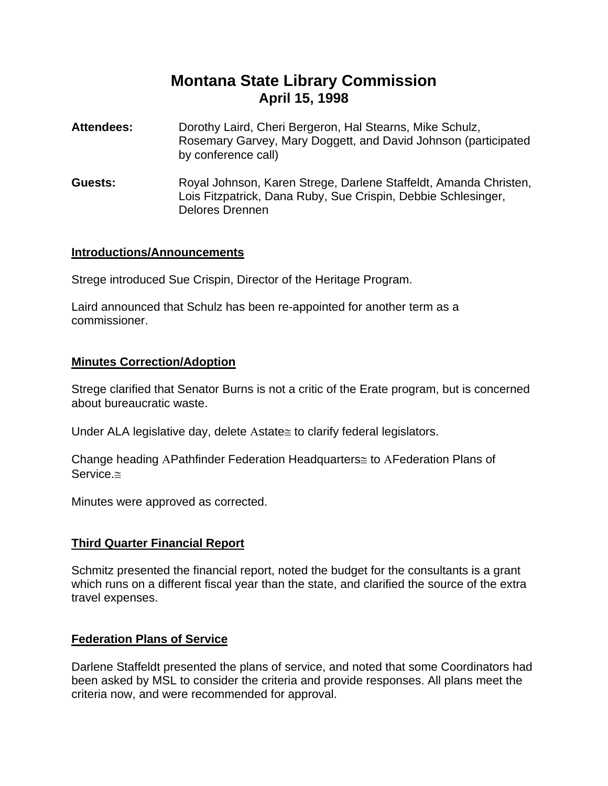# **Montana State Library Commission April 15, 1998**

- **Attendees:** Dorothy Laird, Cheri Bergeron, Hal Stearns, Mike Schulz, Rosemary Garvey, Mary Doggett, and David Johnson (participated by conference call)
- **Guests:** Royal Johnson, Karen Strege, Darlene Staffeldt, Amanda Christen, Lois Fitzpatrick, Dana Ruby, Sue Crispin, Debbie Schlesinger, Delores Drennen

#### **Introductions/Announcements**

Strege introduced Sue Crispin, Director of the Heritage Program.

Laird announced that Schulz has been re-appointed for another term as a commissioner.

#### **Minutes Correction/Adoption**

Strege clarified that Senator Burns is not a critic of the Erate program, but is concerned about bureaucratic waste.

Under ALA legislative day, delete Αstate≅ to clarify federal legislators.

Change heading ΑPathfinder Federation Headquarters≅ to ΑFederation Plans of Service.≅

Minutes were approved as corrected.

## **Third Quarter Financial Report**

Schmitz presented the financial report, noted the budget for the consultants is a grant which runs on a different fiscal year than the state, and clarified the source of the extra travel expenses.

## **Federation Plans of Service**

Darlene Staffeldt presented the plans of service, and noted that some Coordinators had been asked by MSL to consider the criteria and provide responses. All plans meet the criteria now, and were recommended for approval.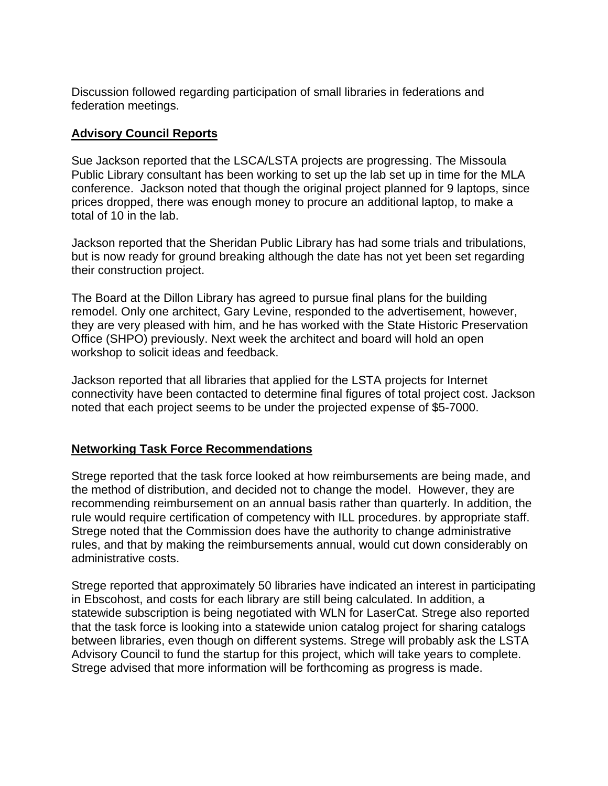Discussion followed regarding participation of small libraries in federations and federation meetings.

# **Advisory Council Reports**

Sue Jackson reported that the LSCA/LSTA projects are progressing. The Missoula Public Library consultant has been working to set up the lab set up in time for the MLA conference. Jackson noted that though the original project planned for 9 laptops, since prices dropped, there was enough money to procure an additional laptop, to make a total of 10 in the lab.

Jackson reported that the Sheridan Public Library has had some trials and tribulations, but is now ready for ground breaking although the date has not yet been set regarding their construction project.

The Board at the Dillon Library has agreed to pursue final plans for the building remodel. Only one architect, Gary Levine, responded to the advertisement, however, they are very pleased with him, and he has worked with the State Historic Preservation Office (SHPO) previously. Next week the architect and board will hold an open workshop to solicit ideas and feedback.

Jackson reported that all libraries that applied for the LSTA projects for Internet connectivity have been contacted to determine final figures of total project cost. Jackson noted that each project seems to be under the projected expense of \$5-7000.

# **Networking Task Force Recommendations**

Strege reported that the task force looked at how reimbursements are being made, and the method of distribution, and decided not to change the model. However, they are recommending reimbursement on an annual basis rather than quarterly. In addition, the rule would require certification of competency with ILL procedures. by appropriate staff. Strege noted that the Commission does have the authority to change administrative rules, and that by making the reimbursements annual, would cut down considerably on administrative costs.

Strege reported that approximately 50 libraries have indicated an interest in participating in Ebscohost, and costs for each library are still being calculated. In addition, a statewide subscription is being negotiated with WLN for LaserCat. Strege also reported that the task force is looking into a statewide union catalog project for sharing catalogs between libraries, even though on different systems. Strege will probably ask the LSTA Advisory Council to fund the startup for this project, which will take years to complete. Strege advised that more information will be forthcoming as progress is made.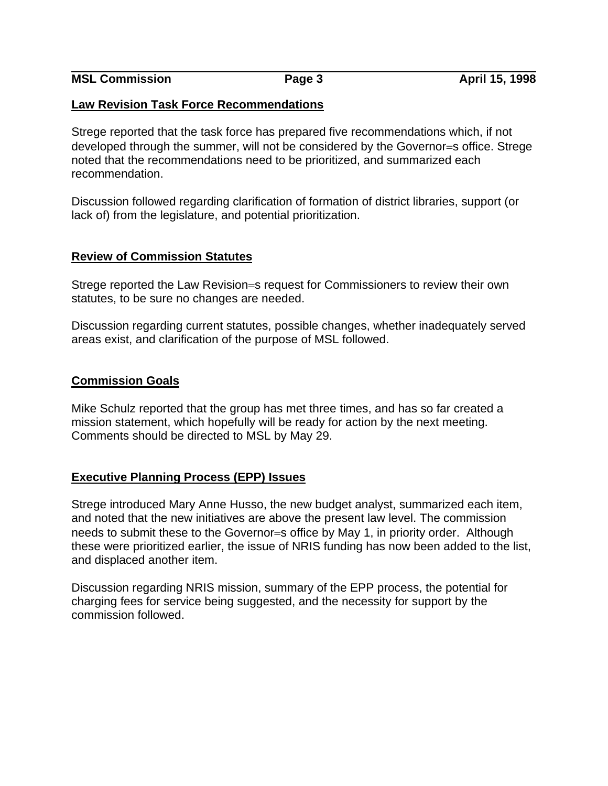**MSL Commission** Page 3 **April 15, 1998** 

#### **Law Revision Task Force Recommendations**

Strege reported that the task force has prepared five recommendations which, if not developed through the summer, will not be considered by the Governor=s office. Strege noted that the recommendations need to be prioritized, and summarized each recommendation.

Discussion followed regarding clarification of formation of district libraries, support (or lack of) from the legislature, and potential prioritization.

## **Review of Commission Statutes**

Strege reported the Law Revision=s request for Commissioners to review their own statutes, to be sure no changes are needed.

Discussion regarding current statutes, possible changes, whether inadequately served areas exist, and clarification of the purpose of MSL followed.

#### **Commission Goals**

Mike Schulz reported that the group has met three times, and has so far created a mission statement, which hopefully will be ready for action by the next meeting. Comments should be directed to MSL by May 29.

## **Executive Planning Process (EPP) Issues**

Strege introduced Mary Anne Husso, the new budget analyst, summarized each item, and noted that the new initiatives are above the present law level. The commission needs to submit these to the Governor=s office by May 1, in priority order. Although these were prioritized earlier, the issue of NRIS funding has now been added to the list, and displaced another item.

Discussion regarding NRIS mission, summary of the EPP process, the potential for charging fees for service being suggested, and the necessity for support by the commission followed.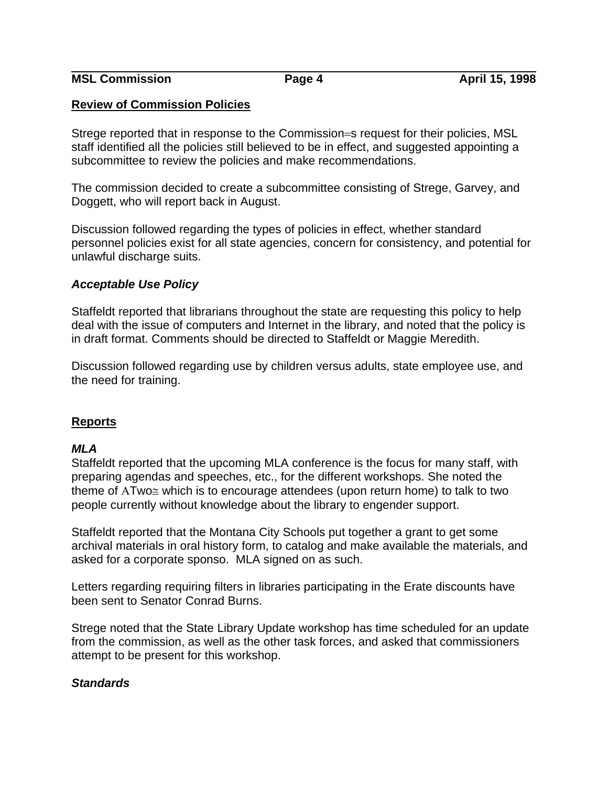**MSL Commission** Page 4 **April 15, 1998** 

#### **Review of Commission Policies**

Strege reported that in response to the Commission=s request for their policies, MSL staff identified all the policies still believed to be in effect, and suggested appointing a subcommittee to review the policies and make recommendations.

The commission decided to create a subcommittee consisting of Strege, Garvey, and Doggett, who will report back in August.

Discussion followed regarding the types of policies in effect, whether standard personnel policies exist for all state agencies, concern for consistency, and potential for unlawful discharge suits.

#### *Acceptable Use Policy*

Staffeldt reported that librarians throughout the state are requesting this policy to help deal with the issue of computers and Internet in the library, and noted that the policy is in draft format. Comments should be directed to Staffeldt or Maggie Meredith.

Discussion followed regarding use by children versus adults, state employee use, and the need for training.

## **Reports**

## *MLA*

Staffeldt reported that the upcoming MLA conference is the focus for many staff, with preparing agendas and speeches, etc., for the different workshops. She noted the theme of ATwo≅ which is to encourage attendees (upon return home) to talk to two people currently without knowledge about the library to engender support.

Staffeldt reported that the Montana City Schools put together a grant to get some archival materials in oral history form, to catalog and make available the materials, and asked for a corporate sponso. MLA signed on as such.

Letters regarding requiring filters in libraries participating in the Erate discounts have been sent to Senator Conrad Burns.

Strege noted that the State Library Update workshop has time scheduled for an update from the commission, as well as the other task forces, and asked that commissioners attempt to be present for this workshop.

## *Standards*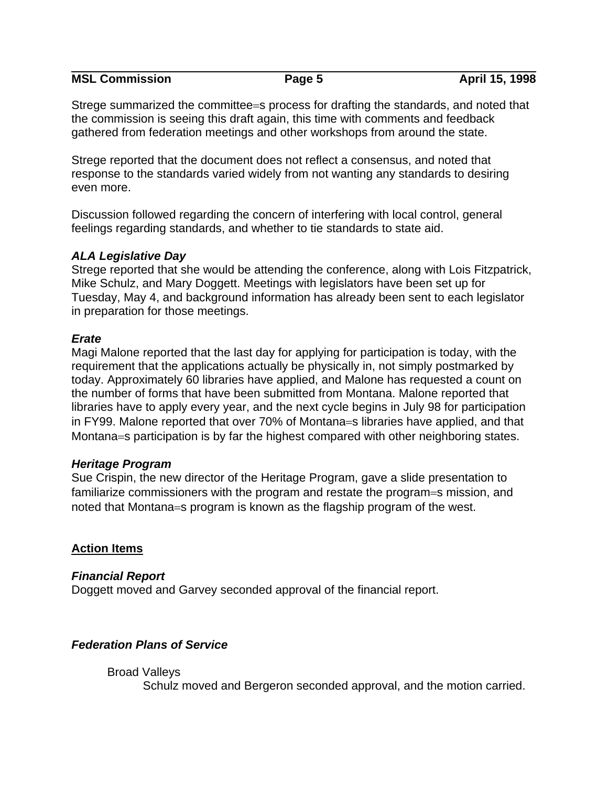**MSL Commission Page 5 April 15, 1998** 

Strege summarized the committee=s process for drafting the standards, and noted that the commission is seeing this draft again, this time with comments and feedback gathered from federation meetings and other workshops from around the state.

Strege reported that the document does not reflect a consensus, and noted that response to the standards varied widely from not wanting any standards to desiring even more.

Discussion followed regarding the concern of interfering with local control, general feelings regarding standards, and whether to tie standards to state aid.

## *ALA Legislative Day*

Strege reported that she would be attending the conference, along with Lois Fitzpatrick, Mike Schulz, and Mary Doggett. Meetings with legislators have been set up for Tuesday, May 4, and background information has already been sent to each legislator in preparation for those meetings.

## *Erate*

Magi Malone reported that the last day for applying for participation is today, with the requirement that the applications actually be physically in, not simply postmarked by today. Approximately 60 libraries have applied, and Malone has requested a count on the number of forms that have been submitted from Montana. Malone reported that libraries have to apply every year, and the next cycle begins in July 98 for participation in FY99. Malone reported that over 70% of Montana=s libraries have applied, and that Montana=s participation is by far the highest compared with other neighboring states.

## *Heritage Program*

Sue Crispin, the new director of the Heritage Program, gave a slide presentation to familiarize commissioners with the program and restate the program=s mission, and noted that Montana=s program is known as the flagship program of the west.

## **Action Items**

## *Financial Report*

Doggett moved and Garvey seconded approval of the financial report.

## *Federation Plans of Service*

#### Broad Valleys

Schulz moved and Bergeron seconded approval, and the motion carried.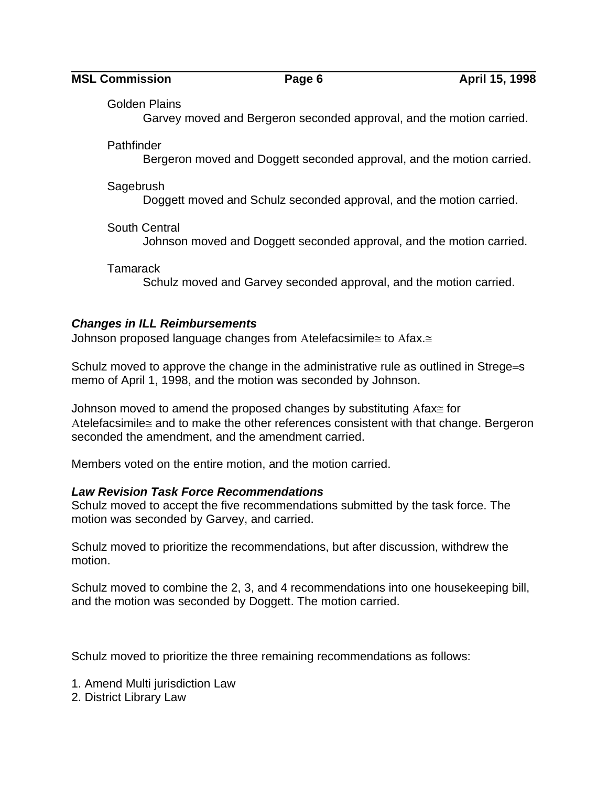**MSL Commission Page 6 April 15, 1998** 

Golden Plains

Garvey moved and Bergeron seconded approval, and the motion carried.

**Pathfinder** 

Bergeron moved and Doggett seconded approval, and the motion carried.

Sagebrush

Doggett moved and Schulz seconded approval, and the motion carried.

South Central

Johnson moved and Doggett seconded approval, and the motion carried.

**Tamarack** 

Schulz moved and Garvey seconded approval, and the motion carried.

# *Changes in ILL Reimbursements*

Johnson proposed language changes from Αtelefacsimile≅ to Αfax.≅

Schulz moved to approve the change in the administrative rule as outlined in Strege=s memo of April 1, 1998, and the motion was seconded by Johnson.

Johnson moved to amend the proposed changes by substituting Αfax≅ for Atelefacsimile≅ and to make the other references consistent with that change. Bergeron seconded the amendment, and the amendment carried.

Members voted on the entire motion, and the motion carried.

## *Law Revision Task Force Recommendations*

Schulz moved to accept the five recommendations submitted by the task force. The motion was seconded by Garvey, and carried.

Schulz moved to prioritize the recommendations, but after discussion, withdrew the motion.

Schulz moved to combine the 2, 3, and 4 recommendations into one housekeeping bill, and the motion was seconded by Doggett. The motion carried.

Schulz moved to prioritize the three remaining recommendations as follows:

1. Amend Multi jurisdiction Law

2. District Library Law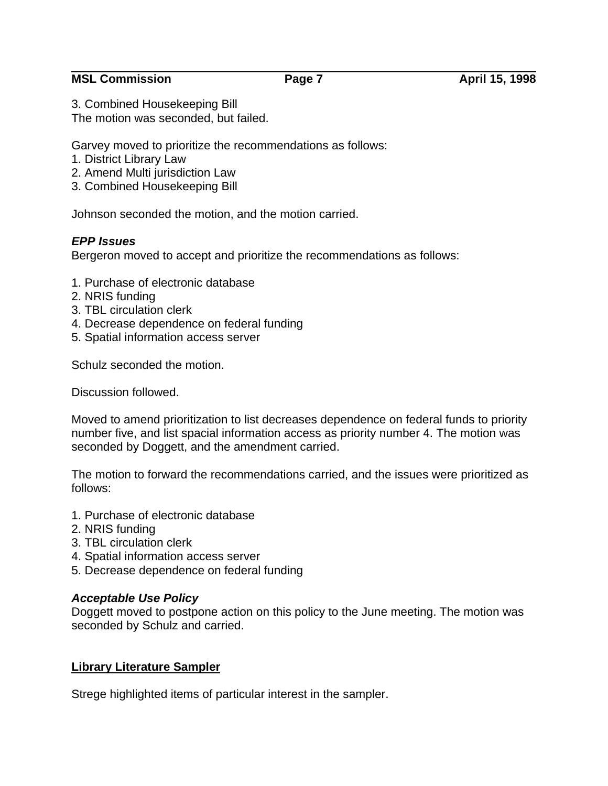## **MSL Commission** Page 7 **April 15, 1998**

3. Combined Housekeeping Bill

The motion was seconded, but failed.

Garvey moved to prioritize the recommendations as follows:

- 1. District Library Law
- 2. Amend Multi jurisdiction Law
- 3. Combined Housekeeping Bill

Johnson seconded the motion, and the motion carried.

# *EPP Issues*

Bergeron moved to accept and prioritize the recommendations as follows:

- 1. Purchase of electronic database
- 2. NRIS funding
- 3. TBL circulation clerk
- 4. Decrease dependence on federal funding
- 5. Spatial information access server

Schulz seconded the motion.

Discussion followed.

Moved to amend prioritization to list decreases dependence on federal funds to priority number five, and list spacial information access as priority number 4. The motion was seconded by Doggett, and the amendment carried.

The motion to forward the recommendations carried, and the issues were prioritized as follows:

- 1. Purchase of electronic database
- 2. NRIS funding
- 3. TBL circulation clerk
- 4. Spatial information access server
- 5. Decrease dependence on federal funding

## *Acceptable Use Policy*

Doggett moved to postpone action on this policy to the June meeting. The motion was seconded by Schulz and carried.

# **Library Literature Sampler**

Strege highlighted items of particular interest in the sampler.